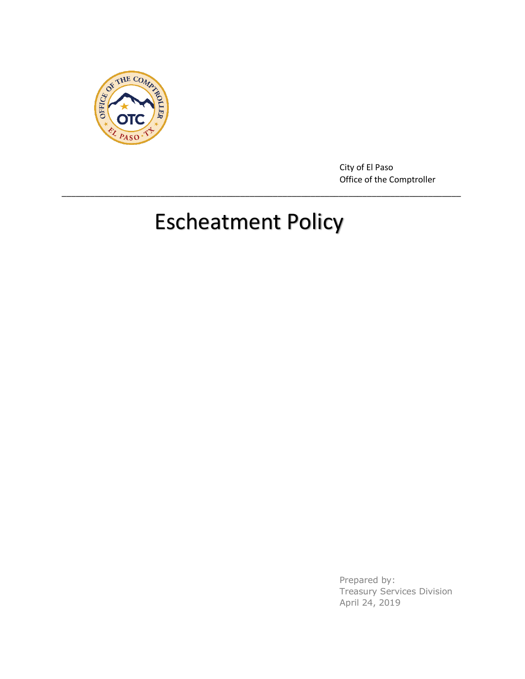

City of El Paso Office of the Comptroller

# Escheatment Policy

\_\_\_\_\_\_\_\_\_\_\_\_\_\_\_\_\_\_\_\_\_\_\_\_\_\_\_\_\_\_\_\_\_\_\_\_\_\_\_\_\_\_\_\_\_\_\_\_\_\_\_\_\_\_\_\_\_\_\_\_\_\_\_\_\_\_\_\_\_\_\_\_\_\_\_\_\_\_\_\_\_\_\_\_\_

Prepared by: Treasury Services Division April 24, 2019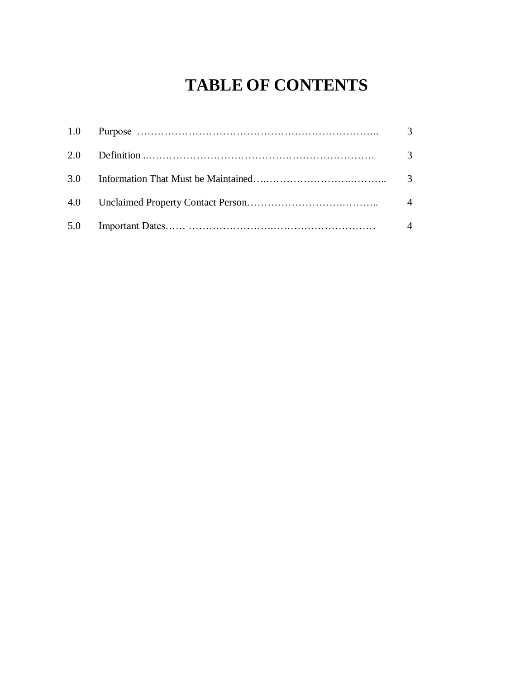### **TABLE OF CONTENTS**

|  | $\mathcal{E}$  |
|--|----------------|
|  | 3              |
|  |                |
|  | $\overline{4}$ |
|  | $\overline{4}$ |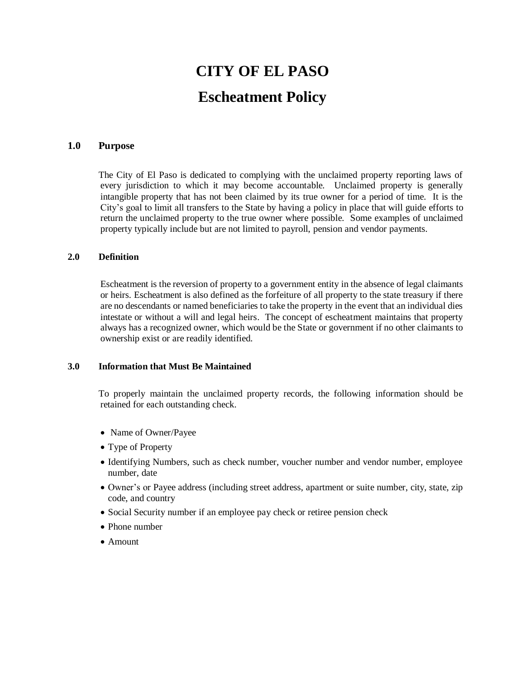## **CITY OF EL PASO Escheatment Policy**

#### <span id="page-2-0"></span>**1.0 Purpose**

The City of El Paso is dedicated to complying with the unclaimed property reporting laws of every jurisdiction to which it may become accountable. Unclaimed property is generally intangible property that has not been claimed by its true owner for a period of time. It is the City's goal to limit all transfers to the State by having a policy in place that will guide efforts to return the unclaimed property to the true owner where possible. Some examples of unclaimed property typically include but are not limited to payroll, pension and vendor payments.

#### **2.0 Definition**

Escheatment is the reversion of property to a government entity in the absence of legal claimants or heirs. Escheatment is also defined as the forfeiture of all property to the state treasury if there are no descendants or named beneficiaries to take the property in the event that an individual dies intestate or without a will and legal heirs. The concept of escheatment maintains that property always has a recognized owner, which would be the State or government if no other claimants to ownership exist or are readily identified.

#### **3.0 Information that Must Be Maintained**

To properly maintain the unclaimed property records, the following information should be retained for each outstanding check.

- Name of Owner/Payee
- Type of Property
- Identifying Numbers, such as check number, voucher number and vendor number, employee number, date
- Owner's or Payee address (including street address, apartment or suite number, city, state, zip code, and country
- Social Security number if an employee pay check or retiree pension check
- Phone number
- Amount